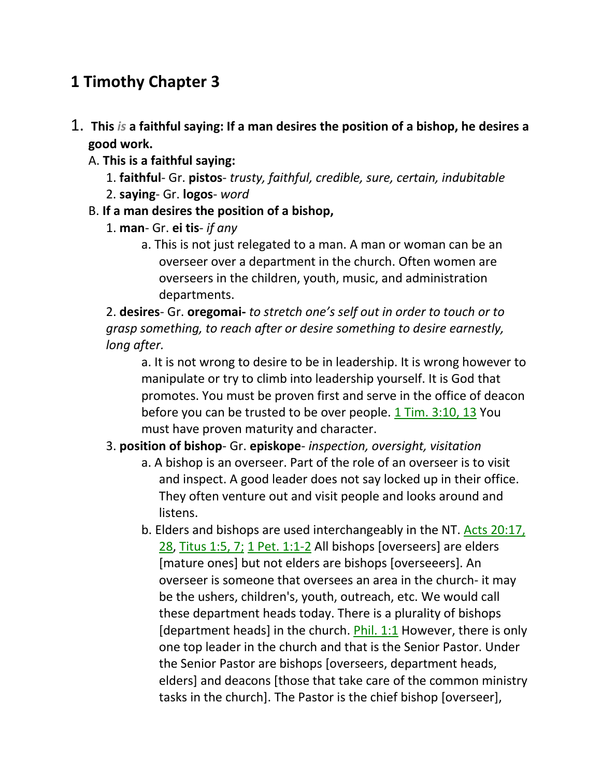# **1 Timothy Chapter 3**

- 1. **This** *is* **a faithful saying: If a man desires the position of a bishop, he desires a good work.** 
	- A. **This is a faithful saying:**
		- 1. **faithful** Gr. **pistos** *trusty, faithful, credible, sure, certain, indubitable*
		- 2. **saying** Gr. **logos** *word*
	- B. **If a man desires the position of a bishop,**
		- 1. **man** Gr. **ei tis** *if any*
			- a. This is not just relegated to a man. A man or woman can be an overseer over a department in the church. Often women are overseers in the children, youth, music, and administration departments.

2. **desires**- Gr. **oregomai-** *to stretch one's self out in order to touch or to grasp something, to reach after or desire something to desire earnestly, long after.* 

a. It is not wrong to desire to be in leadership. It is wrong however to manipulate or try to climb into leadership yourself. It is God that promotes. You must be proven first and serve in the office of deacon before you can be trusted to be over people. 1 Tim. 3:10, 13 You must have proven maturity and character.

- 3. **position of bishop** Gr. **episkope** *inspection, oversight, visitation*
	- a. A bishop is an overseer. Part of the role of an overseer is to visit and inspect. A good leader does not say locked up in their office. They often venture out and visit people and looks around and listens.
	- b. Elders and bishops are used interchangeably in the NT. Acts 20:17, 28, Titus 1:5, 7; 1 Pet. 1:1-2 All bishops [overseers] are elders [mature ones] but not elders are bishops [overseeers]. An overseer is someone that oversees an area in the church- it may be the ushers, children's, youth, outreach, etc. We would call these department heads today. There is a plurality of bishops [department heads] in the church. Phil. 1:1 However, there is only one top leader in the church and that is the Senior Pastor. Under the Senior Pastor are bishops [overseers, department heads, elders] and deacons [those that take care of the common ministry tasks in the church]. The Pastor is the chief bishop [overseer],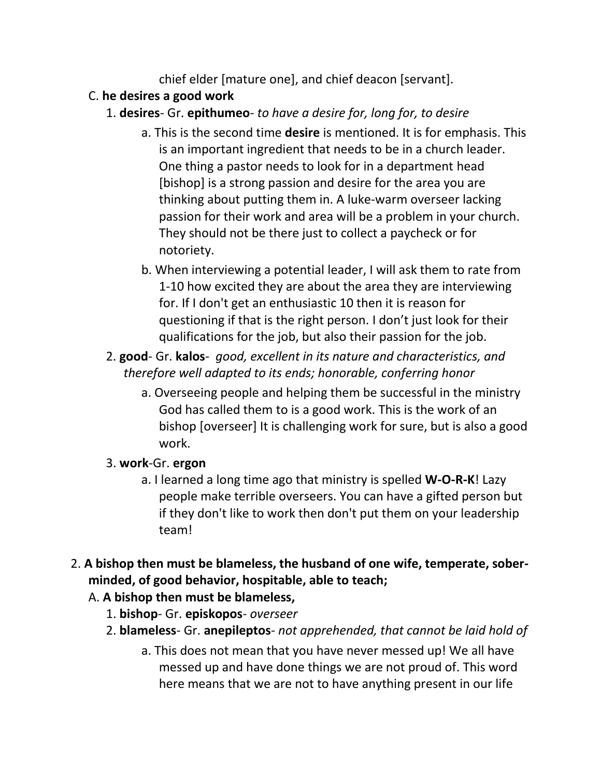chief elder [mature one], and chief deacon [servant].

### C. **he desires a good work**

- 1. **desires** Gr. **epithumeo** *to have a desire for, long for, to desire*
	- a. This is the second time **desire** is mentioned. It is for emphasis. This is an important ingredient that needs to be in a church leader. One thing a pastor needs to look for in a department head [bishop] is a strong passion and desire for the area you are thinking about putting them in. A luke-warm overseer lacking passion for their work and area will be a problem in your church. They should not be there just to collect a paycheck or for notoriety.
	- b. When interviewing a potential leader, I will ask them to rate from 1-10 how excited they are about the area they are interviewing for. If I don't get an enthusiastic 10 then it is reason for questioning if that is the right person. I don't just look for their qualifications for the job, but also their passion for the job.
- 2. **good** Gr. **kalos** *good, excellent in its nature and characteristics, and therefore well adapted to its ends; honorable, conferring honor*
	- a. Overseeing people and helping them be successful in the ministry God has called them to is a good work. This is the work of an bishop [overseer] It is challenging work for sure, but is also a good work.

## 3. **work**-Gr. **ergon**

- a. I learned a long time ago that ministry is spelled **W-O-R-K**! Lazy people make terrible overseers. You can have a gifted person but if they don't like to work then don't put them on your leadership team!
- 2. **A bishop then must be blameless, the husband of one wife, temperate, soberminded, of good behavior, hospitable, able to teach;** 
	- A. **A bishop then must be blameless,**
		- 1. **bishop** Gr. **episkopos** *overseer*
		- 2. **blameless** Gr. **anepileptos** *not apprehended, that cannot be laid hold of*
			- a. This does not mean that you have never messed up! We all have messed up and have done things we are not proud of. This word here means that we are not to have anything present in our life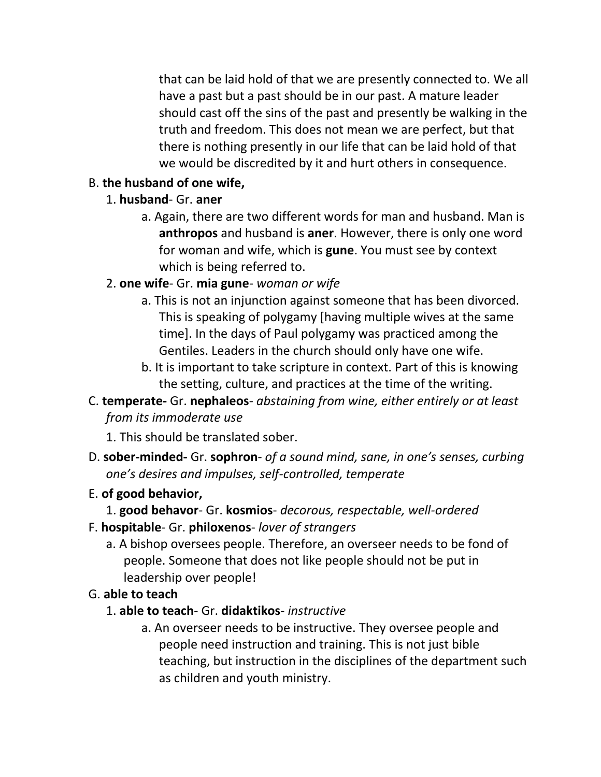that can be laid hold of that we are presently connected to. We all have a past but a past should be in our past. A mature leader should cast off the sins of the past and presently be walking in the truth and freedom. This does not mean we are perfect, but that there is nothing presently in our life that can be laid hold of that we would be discredited by it and hurt others in consequence.

#### B. **the husband of one wife,**

- 1. **husband** Gr. **aner**
	- a. Again, there are two different words for man and husband. Man is **anthropos** and husband is **aner**. However, there is only one word for woman and wife, which is **gune**. You must see by context which is being referred to.

#### 2. **one wife**- Gr. **mia gune**- *woman or wife*

- a. This is not an injunction against someone that has been divorced. This is speaking of polygamy [having multiple wives at the same time]. In the days of Paul polygamy was practiced among the Gentiles. Leaders in the church should only have one wife.
- b. It is important to take scripture in context. Part of this is knowing the setting, culture, and practices at the time of the writing.

## C. **temperate-** Gr. **nephaleos**- *abstaining from wine, either entirely or at least from its immoderate use*

- 1. This should be translated sober.
- D. **sober-minded-** Gr. **sophron** *of a sound mind, sane, in one's senses, curbing one's desires and impulses, self-controlled, temperate*

#### E. **of good behavior,**

#### 1. **good behavor**- Gr. **kosmios**- *decorous, respectable, well-ordered*

- F. **hospitable** Gr. **philoxenos** *lover of strangers*
	- a. A bishop oversees people. Therefore, an overseer needs to be fond of people. Someone that does not like people should not be put in leadership over people!
- G. **able to teach**
	- 1. **able to teach** Gr. **didaktikos** *instructive*
		- a. An overseer needs to be instructive. They oversee people and people need instruction and training. This is not just bible teaching, but instruction in the disciplines of the department such as children and youth ministry.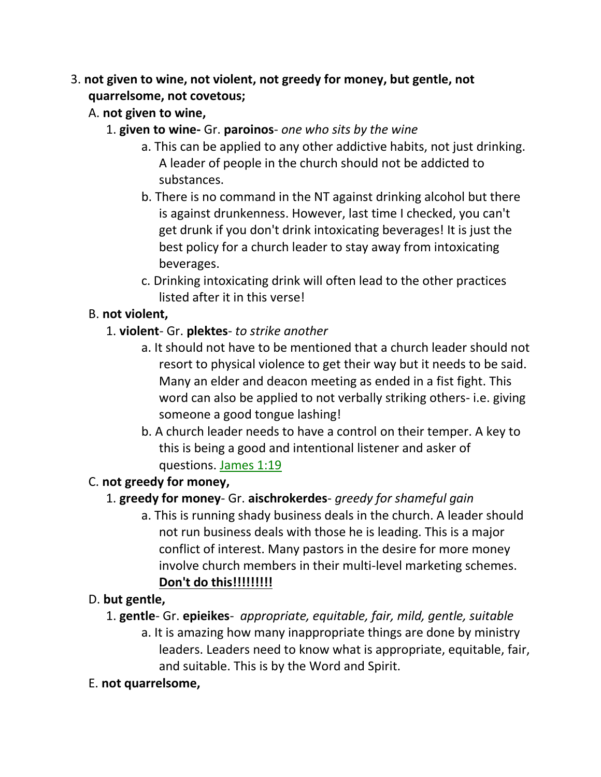## 3. **not given to wine, not violent, not greedy for money, but gentle, not quarrelsome, not covetous;**

- A. **not given to wine,**
	- 1. **given to wine-** Gr. **paroinos** *one who sits by the wine*
		- a. This can be applied to any other addictive habits, not just drinking. A leader of people in the church should not be addicted to substances.
		- b. There is no command in the NT against drinking alcohol but there is against drunkenness. However, last time I checked, you can't get drunk if you don't drink intoxicating beverages! It is just the best policy for a church leader to stay away from intoxicating beverages.
		- c. Drinking intoxicating drink will often lead to the other practices listed after it in this verse!

## B. **not violent,**

- 1. **violent** Gr. **plektes** *to strike another*
	- a. It should not have to be mentioned that a church leader should not resort to physical violence to get their way but it needs to be said. Many an elder and deacon meeting as ended in a fist fight. This word can also be applied to not verbally striking others- i.e. giving someone a good tongue lashing!
	- b. A church leader needs to have a control on their temper. A key to this is being a good and intentional listener and asker of questions. James 1:19

## C. **not greedy for money,**

## 1. **greedy for money**- Gr. **aischrokerdes**- *greedy for shameful gain*

a. This is running shady business deals in the church. A leader should not run business deals with those he is leading. This is a major conflict of interest. Many pastors in the desire for more money involve church members in their multi-level marketing schemes. **Don't do this!!!!!!!!!**

## D. **but gentle,**

- 1. **gentle** Gr. **epieikes** *appropriate, equitable, fair, mild, gentle, suitable*
	- a. It is amazing how many inappropriate things are done by ministry leaders. Leaders need to know what is appropriate, equitable, fair, and suitable. This is by the Word and Spirit.

## E. **not quarrelsome,**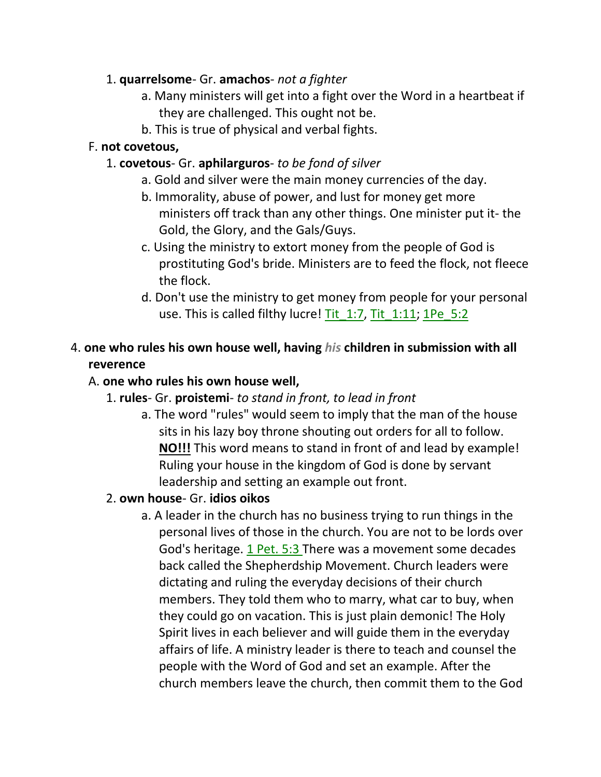#### 1. **quarrelsome**- Gr. **amachos**- *not a fighter*

- a. Many ministers will get into a fight over the Word in a heartbeat if they are challenged. This ought not be.
- b. This is true of physical and verbal fights.

#### F. **not covetous,**

#### 1. **covetous**- Gr. **aphilarguros**- *to be fond of silver*

- a. Gold and silver were the main money currencies of the day.
- b. Immorality, abuse of power, and lust for money get more ministers off track than any other things. One minister put it- the Gold, the Glory, and the Gals/Guys.
- c. Using the ministry to extort money from the people of God is prostituting God's bride. Ministers are to feed the flock, not fleece the flock.
- d. Don't use the ministry to get money from people for your personal use. This is called filthy lucre! Tit 1:7, Tit 1:11; 1Pe 5:2

#### 4. **one who rules his own house well, having** *his* **children in submission with all reverence**

#### A. **one who rules his own house well,**

- 1. **rules** Gr. **proistemi** *to stand in front, to lead in front*
	- a. The word "rules" would seem to imply that the man of the house sits in his lazy boy throne shouting out orders for all to follow. **NO!!!** This word means to stand in front of and lead by example! Ruling your house in the kingdom of God is done by servant leadership and setting an example out front.

#### 2. **own house**- Gr. **idios oikos**

a. A leader in the church has no business trying to run things in the personal lives of those in the church. You are not to be lords over God's heritage. 1 Pet. 5:3 There was a movement some decades back called the Shepherdship Movement. Church leaders were dictating and ruling the everyday decisions of their church members. They told them who to marry, what car to buy, when they could go on vacation. This is just plain demonic! The Holy Spirit lives in each believer and will guide them in the everyday affairs of life. A ministry leader is there to teach and counsel the people with the Word of God and set an example. After the church members leave the church, then commit them to the God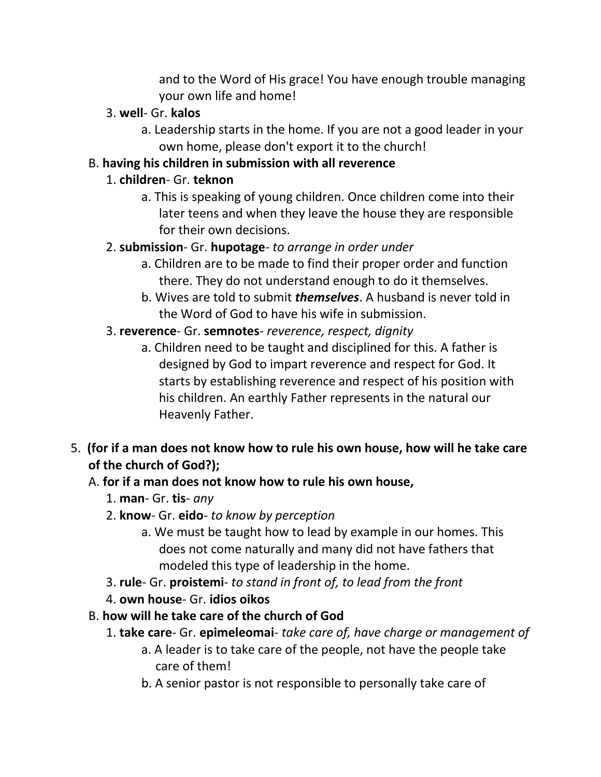and to the Word of His grace! You have enough trouble managing your own life and home!

#### 3. **well**- Gr. **kalos**

a. Leadership starts in the home. If you are not a good leader in your own home, please don't export it to the church!

#### B. **having his children in submission with all reverence**

#### 1. **children**- Gr. **teknon**

a. This is speaking of young children. Once children come into their later teens and when they leave the house they are responsible for their own decisions.

#### 2. **submission**- Gr. **hupotage**- *to arrange in order under*

- a. Children are to be made to find their proper order and function there. They do not understand enough to do it themselves.
- b. Wives are told to submit *themselves*. A husband is never told in the Word of God to have his wife in submission.

#### 3. **reverence**- Gr. **semnotes**- *reverence, respect, dignity*

- a. Children need to be taught and disciplined for this. A father is designed by God to impart reverence and respect for God. It starts by establishing reverence and respect of his position with his children. An earthly Father represents in the natural our Heavenly Father.
- 5. **(for if a man does not know how to rule his own house, how will he take care of the church of God?);**

## A. **for if a man does not know how to rule his own house,**

- 1. **man** Gr. **tis** *any*
- 2. **know** Gr. **eido** *to know by perception*
	- a. We must be taught how to lead by example in our homes. This does not come naturally and many did not have fathers that modeled this type of leadership in the home.
- 3. **rule** Gr. **proistemi** *to stand in front of, to lead from the front*
- 4. **own house** Gr. **idios oikos**
- B. **how will he take care of the church of God**
	- 1. **take care** Gr. **epimeleomai** *take care of, have charge or management of*
		- a. A leader is to take care of the people, not have the people take care of them!
		- b. A senior pastor is not responsible to personally take care of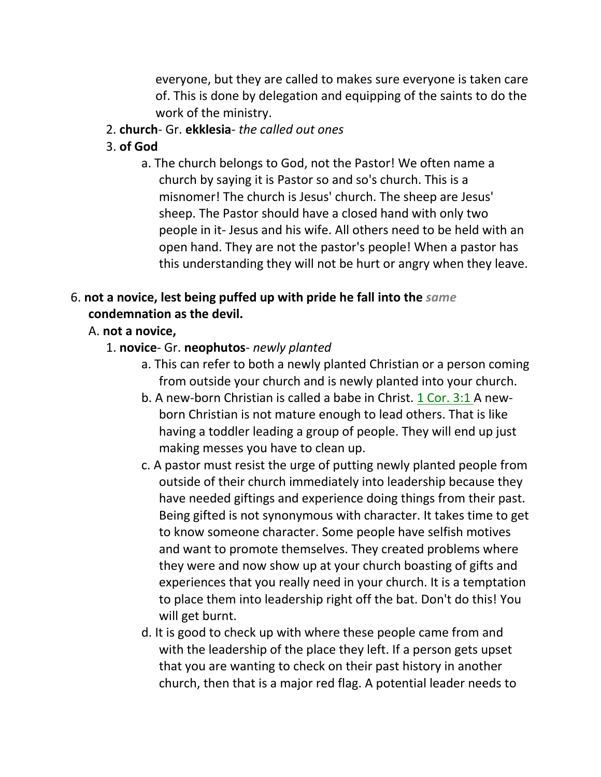everyone, but they are called to makes sure everyone is taken care of. This is done by delegation and equipping of the saints to do the work of the ministry.

- 2. **church** Gr. **ekklesia** *the called out ones*
- 3. **of God**
	- a. The church belongs to God, not the Pastor! We often name a church by saying it is Pastor so and so's church. This is a misnomer! The church is Jesus' church. The sheep are Jesus' sheep. The Pastor should have a closed hand with only two people in it- Jesus and his wife. All others need to be held with an open hand. They are not the pastor's people! When a pastor has this understanding they will not be hurt or angry when they leave.

## 6. **not a novice, lest being puffed up with pride he fall into the** *same* **condemnation as the devil.**

#### A. **not a novice,**

- 1. **novice** Gr. **neophutos** *newly planted*
	- a. This can refer to both a newly planted Christian or a person coming from outside your church and is newly planted into your church.
	- b. A new-born Christian is called a babe in Christ. 1 Cor. 3:1 A newborn Christian is not mature enough to lead others. That is like having a toddler leading a group of people. They will end up just making messes you have to clean up.
	- c. A pastor must resist the urge of putting newly planted people from outside of their church immediately into leadership because they have needed giftings and experience doing things from their past. Being gifted is not synonymous with character. It takes time to get to know someone character. Some people have selfish motives and want to promote themselves. They created problems where they were and now show up at your church boasting of gifts and experiences that you really need in your church. It is a temptation to place them into leadership right off the bat. Don't do this! You will get burnt.
	- d. It is good to check up with where these people came from and with the leadership of the place they left. If a person gets upset that you are wanting to check on their past history in another church, then that is a major red flag. A potential leader needs to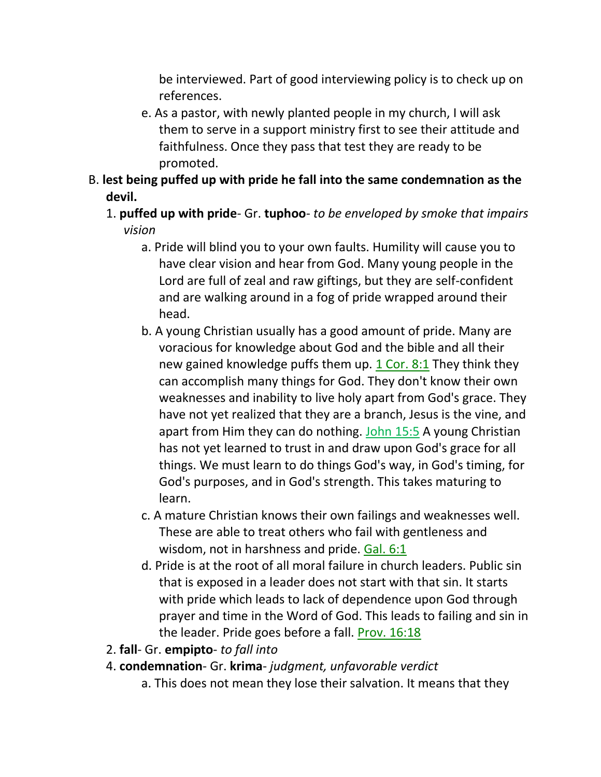be interviewed. Part of good interviewing policy is to check up on references.

- e. As a pastor, with newly planted people in my church, I will ask them to serve in a support ministry first to see their attitude and faithfulness. Once they pass that test they are ready to be promoted.
- B. **lest being puffed up with pride he fall into the same condemnation as the devil.**
	- 1. **puffed up with pride** Gr. **tuphoo** *to be enveloped by smoke that impairs vision*
		- a. Pride will blind you to your own faults. Humility will cause you to have clear vision and hear from God. Many young people in the Lord are full of zeal and raw giftings, but they are self-confident and are walking around in a fog of pride wrapped around their head.
		- b. A young Christian usually has a good amount of pride. Many are voracious for knowledge about God and the bible and all their new gained knowledge puffs them up. 1 Cor. 8:1 They think they can accomplish many things for God. They don't know their own weaknesses and inability to live holy apart from God's grace. They have not yet realized that they are a branch, Jesus is the vine, and apart from Him they can do nothing. John 15:5 A young Christian has not yet learned to trust in and draw upon God's grace for all things. We must learn to do things God's way, in God's timing, for God's purposes, and in God's strength. This takes maturing to learn.
		- c. A mature Christian knows their own failings and weaknesses well. These are able to treat others who fail with gentleness and wisdom, not in harshness and pride. Gal. 6:1
		- d. Pride is at the root of all moral failure in church leaders. Public sin that is exposed in a leader does not start with that sin. It starts with pride which leads to lack of dependence upon God through prayer and time in the Word of God. This leads to failing and sin in the leader. Pride goes before a fall. Prov. 16:18
	- 2. **fall** Gr. **empipto** *to fall into*
	- 4. **condemnation** Gr. **krima** *judgment, unfavorable verdict*
		- a. This does not mean they lose their salvation. It means that they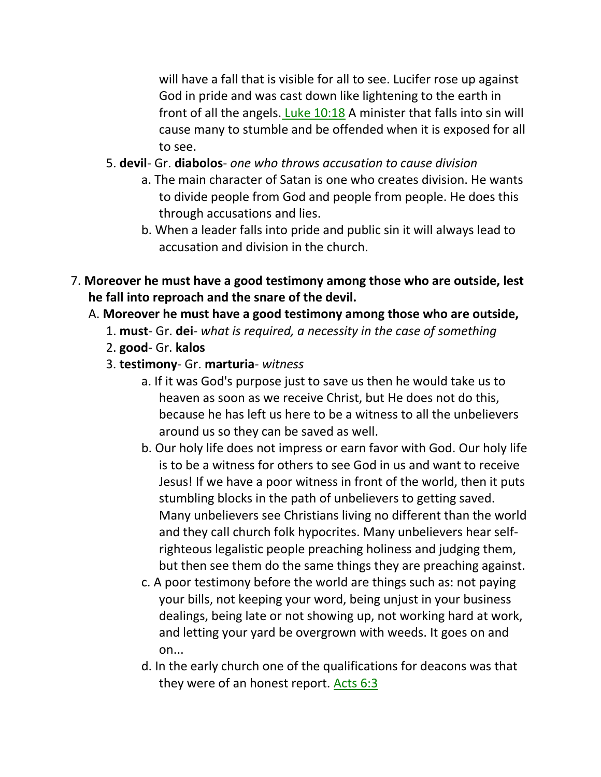will have a fall that is visible for all to see. Lucifer rose up against God in pride and was cast down like lightening to the earth in front of all the angels. Luke 10:18 A minister that falls into sin will cause many to stumble and be offended when it is exposed for all to see.

- 5. **devil** Gr. **diabolos** *one who throws accusation to cause division*
	- a. The main character of Satan is one who creates division. He wants to divide people from God and people from people. He does this through accusations and lies.
	- b. When a leader falls into pride and public sin it will always lead to accusation and division in the church.
- 7. **Moreover he must have a good testimony among those who are outside, lest he fall into reproach and the snare of the devil.** 
	- A. **Moreover he must have a good testimony among those who are outside,**
		- 1. **must** Gr. **dei** *what is required, a necessity in the case of something*
		- 2. **good** Gr. **kalos**
		- 3. **testimony** Gr. **marturia** *witness*
			- a. If it was God's purpose just to save us then he would take us to heaven as soon as we receive Christ, but He does not do this, because he has left us here to be a witness to all the unbelievers around us so they can be saved as well.
			- b. Our holy life does not impress or earn favor with God. Our holy life is to be a witness for others to see God in us and want to receive Jesus! If we have a poor witness in front of the world, then it puts stumbling blocks in the path of unbelievers to getting saved. Many unbelievers see Christians living no different than the world and they call church folk hypocrites. Many unbelievers hear selfrighteous legalistic people preaching holiness and judging them, but then see them do the same things they are preaching against.
			- c. A poor testimony before the world are things such as: not paying your bills, not keeping your word, being unjust in your business dealings, being late or not showing up, not working hard at work, and letting your yard be overgrown with weeds. It goes on and on...
			- d. In the early church one of the qualifications for deacons was that they were of an honest report. Acts 6:3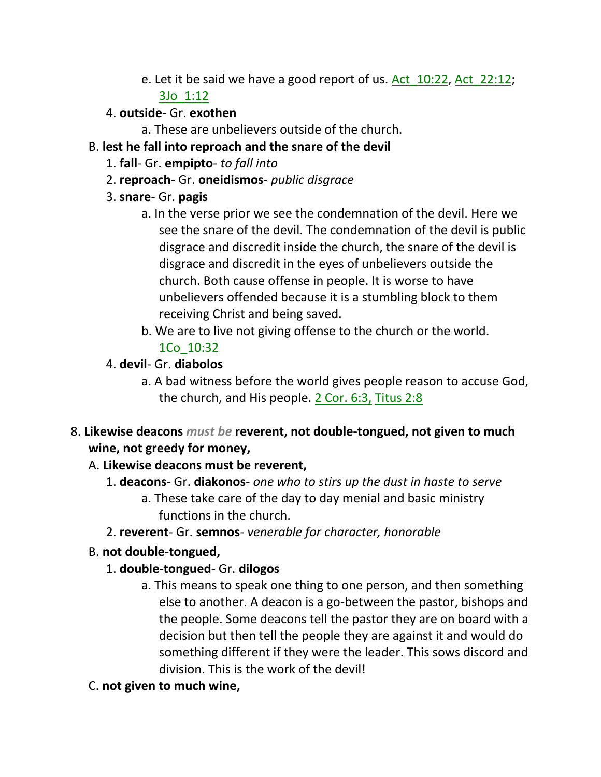e. Let it be said we have a good report of us. Act\_10:22, Act\_22:12;

#### 3Jo\_1:12

- 4. **outside** Gr. **exothen**
	- a. These are unbelievers outside of the church.
- B. **lest he fall into reproach and the snare of the devil**
	- 1. **fall** Gr. **empipto** *to fall into*
	- 2. **reproach** Gr. **oneidismos** *public disgrace*
	- 3. **snare** Gr. **pagis**
		- a. In the verse prior we see the condemnation of the devil. Here we see the snare of the devil. The condemnation of the devil is public disgrace and discredit inside the church, the snare of the devil is disgrace and discredit in the eyes of unbelievers outside the church. Both cause offense in people. It is worse to have unbelievers offended because it is a stumbling block to them receiving Christ and being saved.
		- b. We are to live not giving offense to the church or the world. 1Co\_10:32
	- 4. **devil** Gr. **diabolos**
		- a. A bad witness before the world gives people reason to accuse God, the church, and His people. 2 Cor. 6:3, Titus 2:8
- 8. **Likewise deacons** *must be* **reverent, not double-tongued, not given to much wine, not greedy for money,**
	- A. **Likewise deacons must be reverent,**
		- 1. **deacons** Gr. **diakonos** *one who to stirs up the dust in haste to serve*
			- a. These take care of the day to day menial and basic ministry functions in the church.
		- 2. **reverent** Gr. **semnos** *venerable for character, honorable*
	- B. **not double-tongued,**
		- 1. **double-tongued** Gr. **dilogos**
			- a. This means to speak one thing to one person, and then something else to another. A deacon is a go-between the pastor, bishops and the people. Some deacons tell the pastor they are on board with a decision but then tell the people they are against it and would do something different if they were the leader. This sows discord and division. This is the work of the devil!
	- C. **not given to much wine,**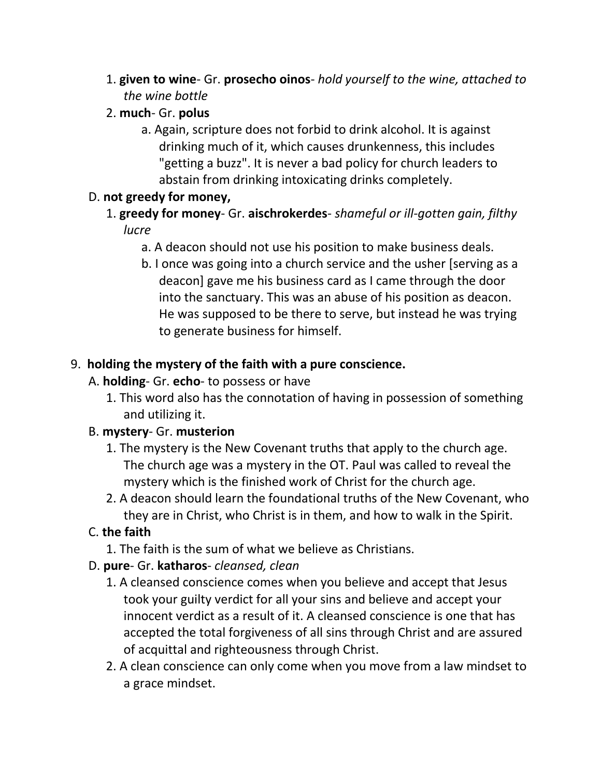- 1. **given to wine** Gr. **prosecho oinos** *hold yourself to the wine, attached to the wine bottle*
- 2. **much** Gr. **polus**
	- a. Again, scripture does not forbid to drink alcohol. It is against drinking much of it, which causes drunkenness, this includes "getting a buzz". It is never a bad policy for church leaders to abstain from drinking intoxicating drinks completely.

#### D. **not greedy for money,**

- 1. **greedy for money** Gr. **aischrokerdes** *shameful or ill-gotten gain, filthy lucre*
	- a. A deacon should not use his position to make business deals.
	- b. I once was going into a church service and the usher [serving as a deacon] gave me his business card as I came through the door into the sanctuary. This was an abuse of his position as deacon. He was supposed to be there to serve, but instead he was trying to generate business for himself.

## 9. **holding the mystery of the faith with a pure conscience.**

- A. **holding** Gr. **echo** to possess or have
	- 1. This word also has the connotation of having in possession of something and utilizing it.

## B. **mystery**- Gr. **musterion**

- 1. The mystery is the New Covenant truths that apply to the church age. The church age was a mystery in the OT. Paul was called to reveal the mystery which is the finished work of Christ for the church age.
- 2. A deacon should learn the foundational truths of the New Covenant, who they are in Christ, who Christ is in them, and how to walk in the Spirit.

## C. **the faith**

1. The faith is the sum of what we believe as Christians.

## D. **pure**- Gr. **katharos**- *cleansed, clean*

- 1. A cleansed conscience comes when you believe and accept that Jesus took your guilty verdict for all your sins and believe and accept your innocent verdict as a result of it. A cleansed conscience is one that has accepted the total forgiveness of all sins through Christ and are assured of acquittal and righteousness through Christ.
- 2. A clean conscience can only come when you move from a law mindset to a grace mindset.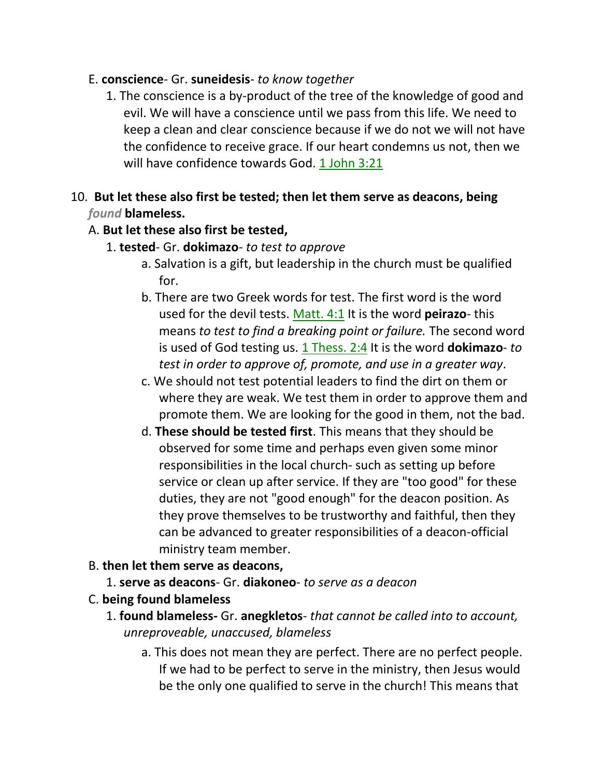#### E. **conscience**- Gr. **suneidesis**- *to know together*

1. The conscience is a by-product of the tree of the knowledge of good and evil. We will have a conscience until we pass from this life. We need to keep a clean and clear conscience because if we do not we will not have the confidence to receive grace. If our heart condemns us not, then we will have confidence towards God. 1 John 3:21

#### 10. **But let these also first be tested; then let them serve as deacons, being**  *found* **blameless.**

#### A. **But let these also first be tested,**

- 1. **tested** Gr. **dokimazo** *to test to approve*
	- a. Salvation is a gift, but leadership in the church must be qualified for.
	- b. There are two Greek words for test. The first word is the word used for the devil tests. Matt. 4:1 It is the word **peirazo**- this means *to test to find a breaking point or failure.* The second word is used of God testing us. 1 Thess. 2:4 It is the word **dokimazo**- *to test in order to approve of, promote, and use in a greater way*.
	- c. We should not test potential leaders to find the dirt on them or where they are weak. We test them in order to approve them and promote them. We are looking for the good in them, not the bad.
	- d. **These should be tested first**. This means that they should be observed for some time and perhaps even given some minor responsibilities in the local church- such as setting up before service or clean up after service. If they are "too good" for these duties, they are not "good enough" for the deacon position. As they prove themselves to be trustworthy and faithful, then they can be advanced to greater responsibilities of a deacon-official ministry team member.
- B. **then let them serve as deacons,**
	- 1. **serve as deacons** Gr. **diakoneo** *to serve as a deacon*
- C. **being found blameless**
	- 1. **found blameless-** Gr. **anegkletos** *that cannot be called into to account, unreproveable, unaccused, blameless*
		- a. This does not mean they are perfect. There are no perfect people. If we had to be perfect to serve in the ministry, then Jesus would be the only one qualified to serve in the church! This means that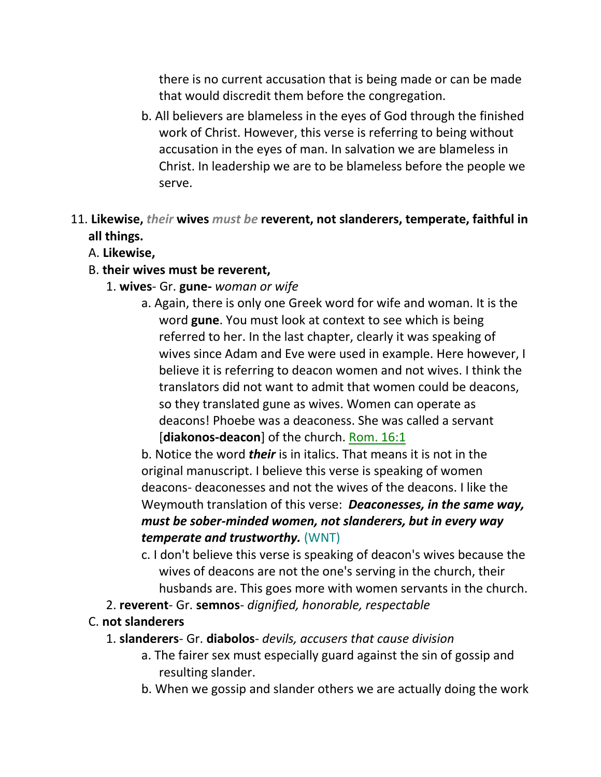there is no current accusation that is being made or can be made that would discredit them before the congregation.

- b. All believers are blameless in the eyes of God through the finished work of Christ. However, this verse is referring to being without accusation in the eyes of man. In salvation we are blameless in Christ. In leadership we are to be blameless before the people we serve.
- 11. **Likewise,** *their* **wives** *must be* **reverent, not slanderers, temperate, faithful in all things.**
	- A. **Likewise,**
	- B. **their wives must be reverent,**
		- 1. **wives** Gr. **gune-** *woman or wife*
			- a. Again, there is only one Greek word for wife and woman. It is the word **gune**. You must look at context to see which is being referred to her. In the last chapter, clearly it was speaking of wives since Adam and Eve were used in example. Here however, I believe it is referring to deacon women and not wives. I think the translators did not want to admit that women could be deacons, so they translated gune as wives. Women can operate as deacons! Phoebe was a deaconess. She was called a servant [**diakonos-deacon**] of the church. Rom. 16:1

b. Notice the word *their* is in italics. That means it is not in the original manuscript. I believe this verse is speaking of women deacons- deaconesses and not the wives of the deacons. I like the Weymouth translation of this verse: *Deaconesses, in the same way, must be sober-minded women, not slanderers, but in every way temperate and trustworthy.* (WNT)

- c. I don't believe this verse is speaking of deacon's wives because the wives of deacons are not the one's serving in the church, their husbands are. This goes more with women servants in the church.
- 2. **reverent** Gr. **semnos** *dignified, honorable, respectable*

#### C. **not slanderers**

- 1. **slanderers** Gr. **diabolos** *devils, accusers that cause division*
	- a. The fairer sex must especially guard against the sin of gossip and resulting slander.
	- b. When we gossip and slander others we are actually doing the work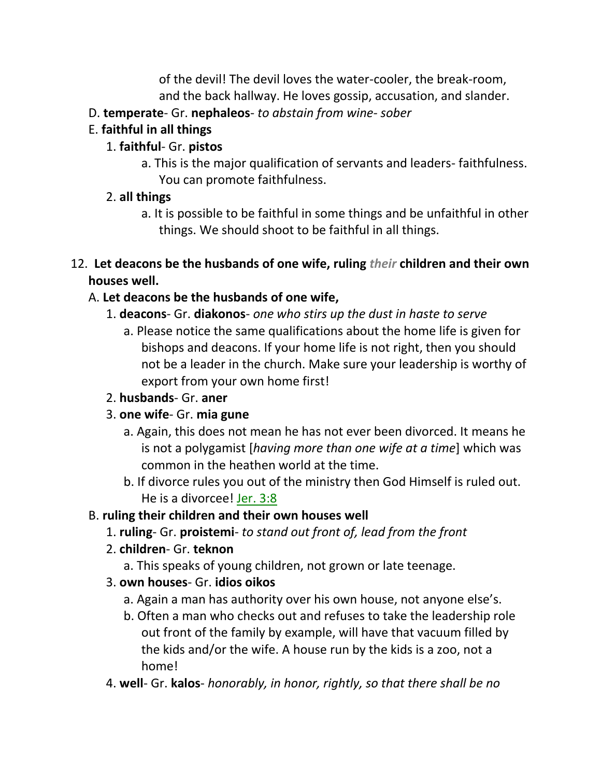of the devil! The devil loves the water-cooler, the break-room, and the back hallway. He loves gossip, accusation, and slander.

- D. **temperate** Gr. **nephaleos** *to abstain from wine- sober*
- E. **faithful in all things**

### 1. **faithful**- Gr. **pistos**

a. This is the major qualification of servants and leaders- faithfulness. You can promote faithfulness.

#### 2. **all things**

- a. It is possible to be faithful in some things and be unfaithful in other things. We should shoot to be faithful in all things.
- 12. **Let deacons be the husbands of one wife, ruling** *their* **children and their own houses well.**

## A. **Let deacons be the husbands of one wife,**

- 1. **deacons** Gr. **diakonos** *one who stirs up the dust in haste to serve*
	- a. Please notice the same qualifications about the home life is given for bishops and deacons. If your home life is not right, then you should not be a leader in the church. Make sure your leadership is worthy of export from your own home first!
- 2. **husbands** Gr. **aner**
- 3. **one wife** Gr. **mia gune**
	- a. Again, this does not mean he has not ever been divorced. It means he is not a polygamist [*having more than one wife at a time*] which was common in the heathen world at the time.
	- b. If divorce rules you out of the ministry then God Himself is ruled out. He is a divorcee! Jer. 3:8

## B. **ruling their children and their own houses well**

- 1. **ruling** Gr. **proistemi** *to stand out front of, lead from the front*
- 2. **children** Gr. **teknon**
	- a. This speaks of young children, not grown or late teenage.
- 3. **own houses** Gr. **idios oikos**
	- a. Again a man has authority over his own house, not anyone else's.
	- b. Often a man who checks out and refuses to take the leadership role out front of the family by example, will have that vacuum filled by the kids and/or the wife. A house run by the kids is a zoo, not a home!
- 4. **well** Gr. **kalos** *honorably, in honor, rightly, so that there shall be no*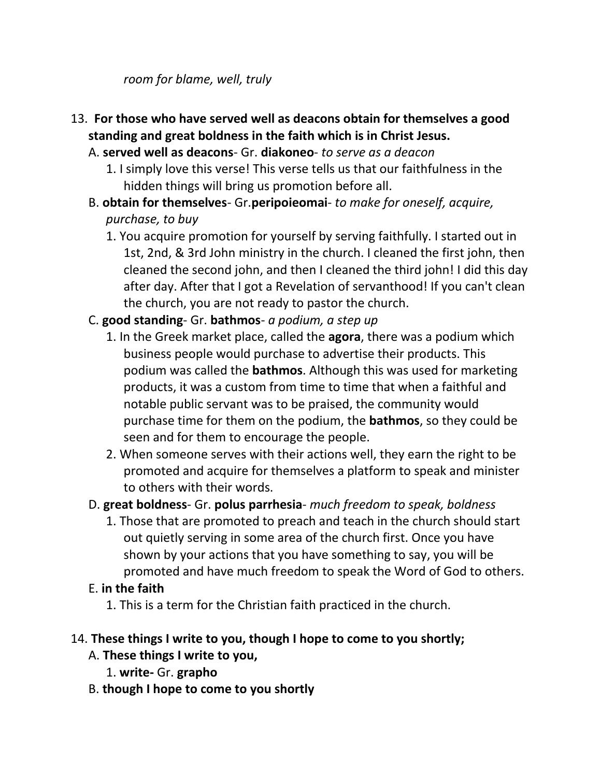*room for blame, well, truly*

- 13. **For those who have served well as deacons obtain for themselves a good standing and great boldness in the faith which is in Christ Jesus.** 
	- A. **served well as deacons** Gr. **diakoneo** *to serve as a deacon*
		- 1. I simply love this verse! This verse tells us that our faithfulness in the hidden things will bring us promotion before all.
	- B. **obtain for themselves** Gr.**peripoieomai** *to make for oneself, acquire, purchase, to buy*
		- 1. You acquire promotion for yourself by serving faithfully. I started out in 1st, 2nd, & 3rd John ministry in the church. I cleaned the first john, then cleaned the second john, and then I cleaned the third john! I did this day after day. After that I got a Revelation of servanthood! If you can't clean the church, you are not ready to pastor the church.
	- C. **good standing** Gr. **bathmos** *a podium, a step up*
		- 1. In the Greek market place, called the **agora**, there was a podium which business people would purchase to advertise their products. This podium was called the **bathmos**. Although this was used for marketing products, it was a custom from time to time that when a faithful and notable public servant was to be praised, the community would purchase time for them on the podium, the **bathmos**, so they could be seen and for them to encourage the people.
		- 2. When someone serves with their actions well, they earn the right to be promoted and acquire for themselves a platform to speak and minister to others with their words.
	- D. **great boldness** Gr. **polus parrhesia** *much freedom to speak, boldness*
		- 1. Those that are promoted to preach and teach in the church should start out quietly serving in some area of the church first. Once you have shown by your actions that you have something to say, you will be promoted and have much freedom to speak the Word of God to others.
	- E. **in the faith**
		- 1. This is a term for the Christian faith practiced in the church.

#### 14. **These things I write to you, though I hope to come to you shortly;**

- A. **These things I write to you,**
	- 1. **write-** Gr. **grapho**
- B. **though I hope to come to you shortly**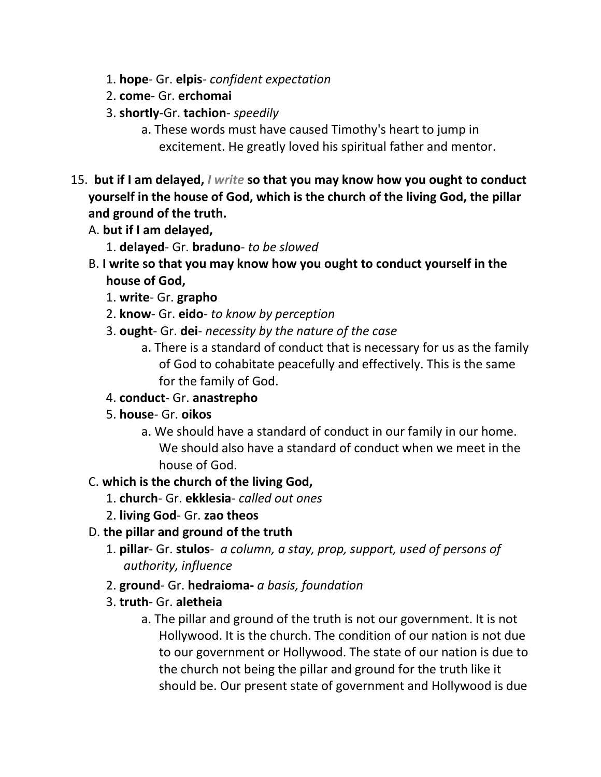- 1. **hope** Gr. **elpis** *confident expectation*
- 2. **come** Gr. **erchomai**
- 3. **shortly**-Gr. **tachion** *speedily*
	- a. These words must have caused Timothy's heart to jump in excitement. He greatly loved his spiritual father and mentor.
- 15. **but if I am delayed,** *I write* **so that you may know how you ought to conduct yourself in the house of God, which is the church of the living God, the pillar and ground of the truth.** 
	- A. **but if I am delayed,**
		- 1. **delayed** Gr. **braduno** *to be slowed*
	- B. **I write so that you may know how you ought to conduct yourself in the house of God,**
		- 1. **write** Gr. **grapho**
		- 2. **know** Gr. **eido** *to know by perception*
		- 3. **ought** Gr. **dei** *necessity by the nature of the case*
			- a. There is a standard of conduct that is necessary for us as the family of God to cohabitate peacefully and effectively. This is the same for the family of God.
		- 4. **conduct** Gr. **anastrepho**
		- 5. **house** Gr. **oikos**
			- a. We should have a standard of conduct in our family in our home. We should also have a standard of conduct when we meet in the house of God.

#### C. **which is the church of the living God,**

- 1. **church** Gr. **ekklesia** *called out ones*
- 2. **living God** Gr. **zao theos**
- D. **the pillar and ground of the truth**
	- 1. **pillar** Gr. **stulos** *a column, a stay, prop, support, used of persons of authority, influence*
	- 2. **ground** Gr. **hedraioma-** *a basis, foundation*
	- 3. **truth** Gr. **aletheia**
		- a. The pillar and ground of the truth is not our government. It is not Hollywood. It is the church. The condition of our nation is not due to our government or Hollywood. The state of our nation is due to the church not being the pillar and ground for the truth like it should be. Our present state of government and Hollywood is due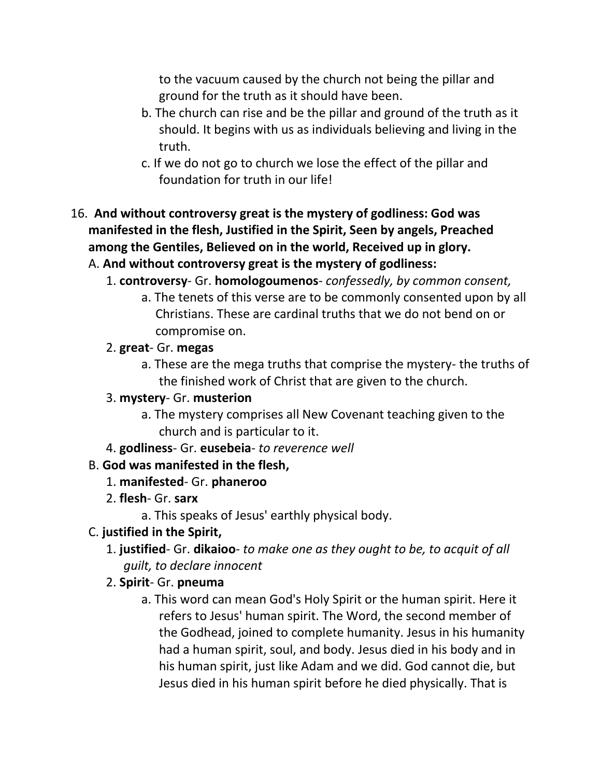to the vacuum caused by the church not being the pillar and ground for the truth as it should have been.

- b. The church can rise and be the pillar and ground of the truth as it should. It begins with us as individuals believing and living in the truth.
- c. If we do not go to church we lose the effect of the pillar and foundation for truth in our life!
- 16. **And without controversy great is the mystery of godliness: God was manifested in the flesh, Justified in the Spirit, Seen by angels, Preached among the Gentiles, Believed on in the world, Received up in glory.**

#### A. **And without controversy great is the mystery of godliness:**

- 1. **controversy** Gr. **homologoumenos** *confessedly, by common consent,* 
	- a. The tenets of this verse are to be commonly consented upon by all Christians. These are cardinal truths that we do not bend on or compromise on.

#### 2. **great**- Gr. **megas**

a. These are the mega truths that comprise the mystery- the truths of the finished work of Christ that are given to the church.

#### 3. **mystery**- Gr. **musterion**

- a. The mystery comprises all New Covenant teaching given to the church and is particular to it.
- 4. **godliness** Gr. **eusebeia** *to reverence well*

## B. **God was manifested in the flesh,**

- 1. **manifested** Gr. **phaneroo**
- 2. **flesh** Gr. **sarx**
	- a. This speaks of Jesus' earthly physical body.

#### C. **justified in the Spirit,**

- 1. **justified** Gr. **dikaioo** *to make one as they ought to be, to acquit of all guilt, to declare innocent*
- 2. **Spirit** Gr. **pneuma**
	- a. This word can mean God's Holy Spirit or the human spirit. Here it refers to Jesus' human spirit. The Word, the second member of the Godhead, joined to complete humanity. Jesus in his humanity had a human spirit, soul, and body. Jesus died in his body and in his human spirit, just like Adam and we did. God cannot die, but Jesus died in his human spirit before he died physically. That is